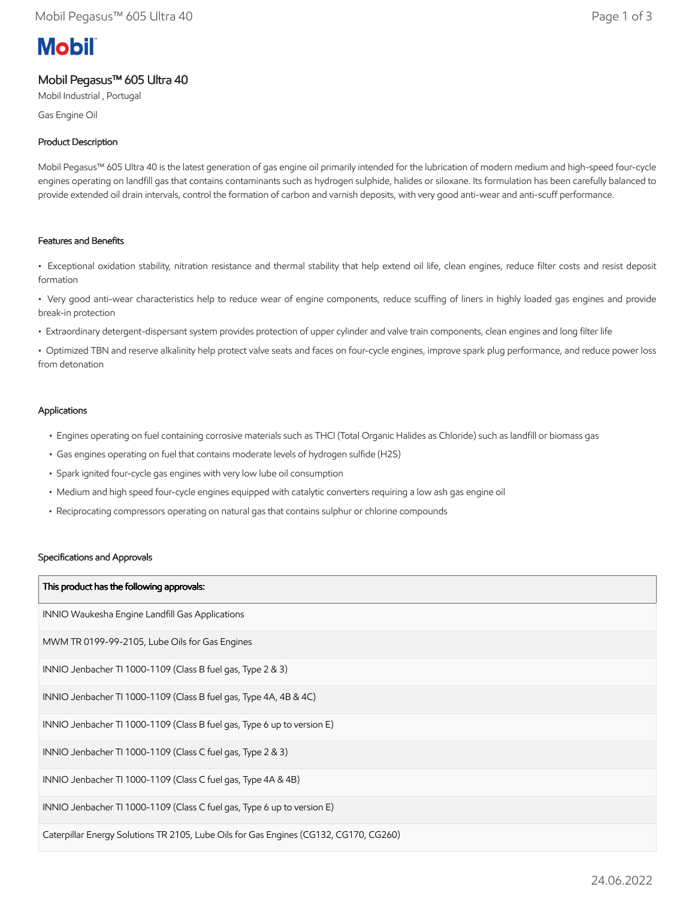# **Mobil**

# Mobil Pegasus™ 605 Ultra 40

Mobil Industrial , Portugal

Gas Engine Oil

# Product Description

Mobil Pegasus™ 605 Ultra 40 is the latest generation of gas engine oil primarily intended for the lubrication of modern medium and high-speed four-cycle engines operating on landfill gas that contains contaminants such as hydrogen sulphide, halides or siloxane. Its formulation has been carefully balanced to provide extended oil drain intervals, control the formation of carbon and varnish deposits, with very good anti-wear and anti-scuff performance.

## Features and Benefits

• Exceptional oxidation stability, nitration resistance and thermal stability that help extend oil life, clean engines, reduce filter costs and resist deposit formation

• Very good anti-wear characteristics help to reduce wear of engine components, reduce scuffing of liners in highly loaded gas engines and provide break-in protection

• Extraordinary detergent-dispersant system provides protection of upper cylinder and valve train components, clean engines and long filter life

• Optimized TBN and reserve alkalinity help protect valve seats and faces on four-cycle engines, improve spark plug performance, and reduce power loss from detonation

### Applications

- Engines operating on fuel containing corrosive materials such as THCl (Total Organic Halides as Chloride) such as landfill or biomass gas
- Gas engines operating on fuel that contains moderate levels of hydrogen sulfide (H2S)
- Spark ignited four-cycle gas engines with very low lube oil consumption
- Medium and high speed four-cycle engines equipped with catalytic converters requiring a low ash gas engine oil
- Reciprocating compressors operating on natural gas that contains sulphur or chlorine compounds

#### Specifications and Approvals

| This product has the following approvals:                                             |
|---------------------------------------------------------------------------------------|
| INNIO Waukesha Engine Landfill Gas Applications                                       |
| MWM TR 0199-99-2105, Lube Oils for Gas Engines                                        |
| INNIO Jenbacher TI 1000-1109 (Class B fuel gas, Type 2 & 3)                           |
| INNIO Jenbacher TI 1000-1109 (Class B fuel gas, Type 4A, 4B & 4C)                     |
| INNIO Jenbacher TI 1000-1109 (Class B fuel gas, Type 6 up to version E)               |
| INNIO Jenbacher TI 1000-1109 (Class C fuel gas, Type 2 & 3)                           |
| INNIO Jenbacher TI 1000-1109 (Class C fuel gas, Type 4A & 4B)                         |
| INNIO Jenbacher TI 1000-1109 (Class C fuel gas, Type 6 up to version E)               |
| Caterpillar Energy Solutions TR 2105, Lube Oils for Gas Engines (CG132, CG170, CG260) |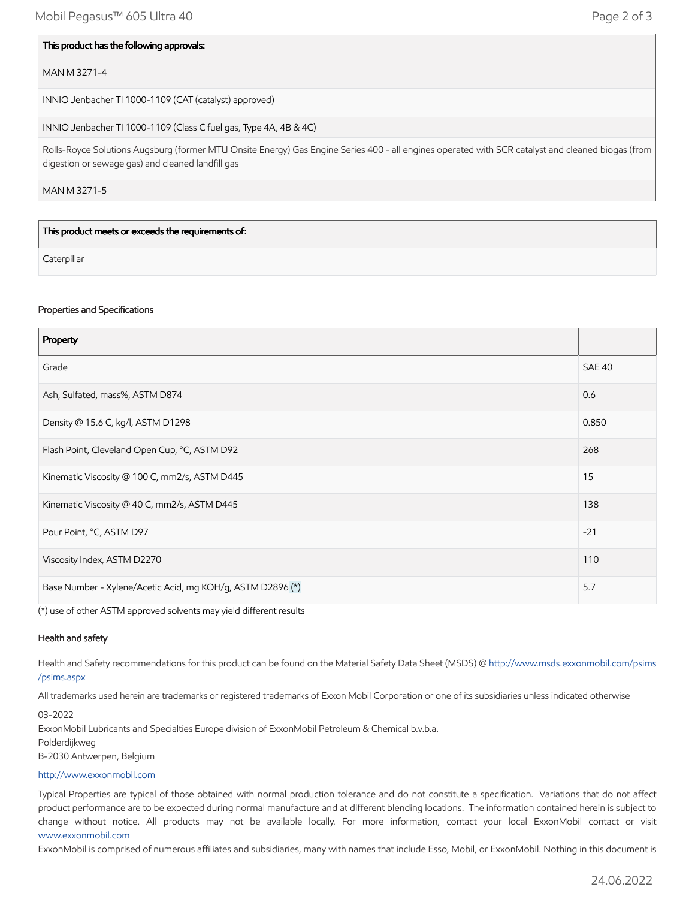#### This product has the following approvals:

#### MAN M 3271-4

INNIO Jenbacher TI 1000-1109 (CAT (catalyst) approved)

INNIO Jenbacher TI 1000-1109 (Class C fuel gas, Type 4A, 4B & 4C)

Rolls-Royce Solutions Augsburg (former MTU Onsite Energy) Gas Engine Series 400 - all engines operated with SCR catalyst and cleaned biogas (from digestion or sewage gas) and cleaned landfill gas

MAN M 3271-5

This product meets or exceeds the requirements of:

**Caterpillar** 

#### Properties and Specifications

| Property                                                   |               |
|------------------------------------------------------------|---------------|
| Grade                                                      | <b>SAE 40</b> |
| Ash, Sulfated, mass%, ASTM D874                            | 0.6           |
| Density @ 15.6 C, kg/l, ASTM D1298                         | 0.850         |
| Flash Point, Cleveland Open Cup, °C, ASTM D92              | 268           |
| Kinematic Viscosity @ 100 C, mm2/s, ASTM D445              | 15            |
| Kinematic Viscosity @ 40 C, mm2/s, ASTM D445               | 138           |
| Pour Point, °C, ASTM D97                                   | $-21$         |
| Viscosity Index, ASTM D2270                                | 110           |
| Base Number - Xylene/Acetic Acid, mg KOH/g, ASTM D2896 (*) | 5.7           |

(\*) use of other ASTM approved solvents may yield different results

#### Health and safety

Health and Safety recommendations for this product can be found on the Material Safety Data Sheet (MSDS) @ [http://www.msds.exxonmobil.com/psims](http://www.msds.exxonmobil.com/psims/psims.aspx) /psims.aspx

All trademarks used herein are trademarks or registered trademarks of Exxon Mobil Corporation or one of its subsidiaries unless indicated otherwise

03-2022

ExxonMobil Lubricants and Specialties Europe division of ExxonMobil Petroleum & Chemical b.v.b.a.

Polderdijkweg

B-2030 Antwerpen, Belgium

#### [http://www.exxonmobil.com](http://www.exxonmobil.com/)

Typical Properties are typical of those obtained with normal production tolerance and do not constitute a specification. Variations that do not affect product performance are to be expected during normal manufacture and at different blending locations. The information contained herein is subject to change without notice. All products may not be available locally. For more information, contact your local ExxonMobil contact or visit [www.exxonmobil.com](http://www.exxonmobil.com/)

ExxonMobil is comprised of numerous affiliates and subsidiaries, many with names that include Esso, Mobil, or ExxonMobil. Nothing in this document is